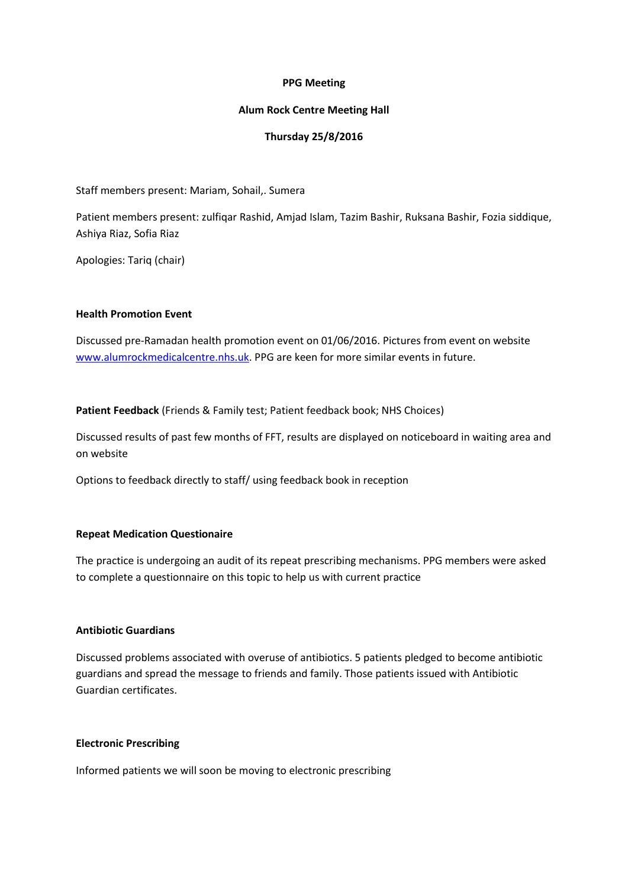#### **PPG Meeting**

#### **Alum Rock Centre Meeting Hall**

## **Thursday 25/8/2016**

Staff members present: Mariam, Sohail,. Sumera

Patient members present: zulfiqar Rashid, Amjad Islam, Tazim Bashir, Ruksana Bashir, Fozia siddique, Ashiya Riaz, Sofia Riaz

Apologies: Tariq (chair)

#### **Health Promotion Event**

Discussed pre-Ramadan health promotion event on 01/06/2016. Pictures from event on website [www.alumrockmedicalcentre.nhs.uk.](http://www.alumrockmedicalcentre.nhs.uk/) PPG are keen for more similar events in future.

**Patient Feedback** (Friends & Family test; Patient feedback book; NHS Choices)

Discussed results of past few months of FFT, results are displayed on noticeboard in waiting area and on website

Options to feedback directly to staff/ using feedback book in reception

## **Repeat Medication Questionaire**

The practice is undergoing an audit of its repeat prescribing mechanisms. PPG members were asked to complete a questionnaire on this topic to help us with current practice

## **Antibiotic Guardians**

Discussed problems associated with overuse of antibiotics. 5 patients pledged to become antibiotic guardians and spread the message to friends and family. Those patients issued with Antibiotic Guardian certificates.

#### **Electronic Prescribing**

Informed patients we will soon be moving to electronic prescribing